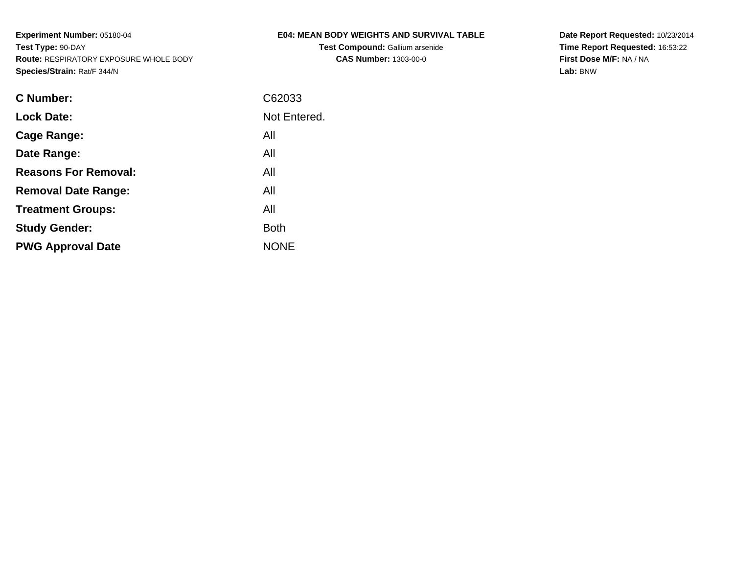**Test Compound:** Gallium arsenide**CAS Number:** 1303-00-0

**Date Report Requested:** 10/23/2014 **Time Report Requested:** 16:53:22**First Dose M/F:** NA / NA**Lab:** BNW

| <b>C</b> Number:            | C62033       |
|-----------------------------|--------------|
| <b>Lock Date:</b>           | Not Entered. |
| Cage Range:                 | All          |
| Date Range:                 | All          |
| <b>Reasons For Removal:</b> | All          |
| <b>Removal Date Range:</b>  | All          |
| <b>Treatment Groups:</b>    | All          |
| <b>Study Gender:</b>        | <b>Both</b>  |
| <b>PWG Approval Date</b>    | <b>NONE</b>  |
|                             |              |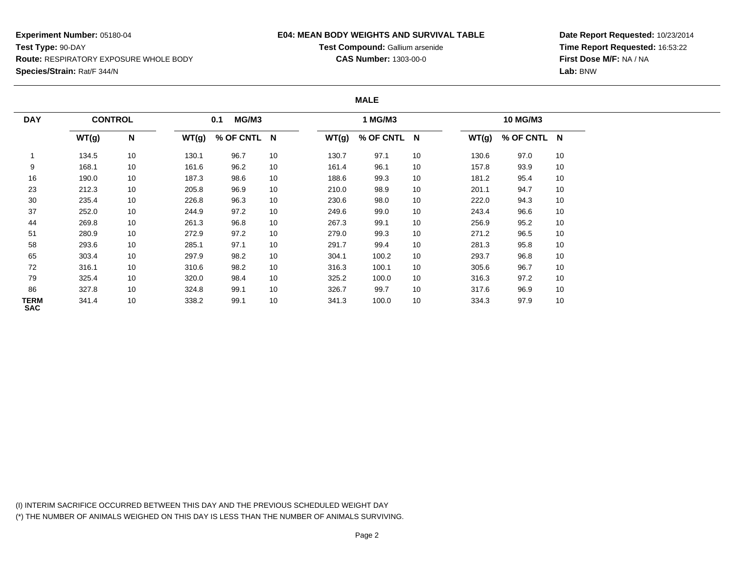### **E04: MEAN BODY WEIGHTS AND SURVIVAL TABLE**

**Test Compound:** Gallium arsenide**CAS Number:** 1303-00-0

**Date Report Requested:** 10/23/2014 **Time Report Requested:** 16:53:22**First Dose M/F:** NA / NA**Lab:** BNW

#### **MALE**

| <b>DAY</b>         | <b>CONTROL</b> |    |       | MG/M3<br>0.1 |    |       | 1 MG/M3     |    |       | 10 MG/M3    |    |
|--------------------|----------------|----|-------|--------------|----|-------|-------------|----|-------|-------------|----|
|                    | WT(g)          | N  | WT(g) | % OF CNTL N  |    | WT(g) | % OF CNTL N |    | WT(g) | % OF CNTL N |    |
|                    | 134.5          | 10 | 130.1 | 96.7         | 10 | 130.7 | 97.1        | 10 | 130.6 | 97.0        | 10 |
| 9                  | 168.1          | 10 | 161.6 | 96.2         | 10 | 161.4 | 96.1        | 10 | 157.8 | 93.9        | 10 |
| 16                 | 190.0          | 10 | 187.3 | 98.6         | 10 | 188.6 | 99.3        | 10 | 181.2 | 95.4        | 10 |
| 23                 | 212.3          | 10 | 205.8 | 96.9         | 10 | 210.0 | 98.9        | 10 | 201.1 | 94.7        | 10 |
| 30                 | 235.4          | 10 | 226.8 | 96.3         | 10 | 230.6 | 98.0        | 10 | 222.0 | 94.3        | 10 |
| 37                 | 252.0          | 10 | 244.9 | 97.2         | 10 | 249.6 | 99.0        | 10 | 243.4 | 96.6        | 10 |
| 44                 | 269.8          | 10 | 261.3 | 96.8         | 10 | 267.3 | 99.1        | 10 | 256.9 | 95.2        | 10 |
| 51                 | 280.9          | 10 | 272.9 | 97.2         | 10 | 279.0 | 99.3        | 10 | 271.2 | 96.5        | 10 |
| 58                 | 293.6          | 10 | 285.1 | 97.1         | 10 | 291.7 | 99.4        | 10 | 281.3 | 95.8        | 10 |
| 65                 | 303.4          | 10 | 297.9 | 98.2         | 10 | 304.1 | 100.2       | 10 | 293.7 | 96.8        | 10 |
| 72                 | 316.1          | 10 | 310.6 | 98.2         | 10 | 316.3 | 100.1       | 10 | 305.6 | 96.7        | 10 |
| 79                 | 325.4          | 10 | 320.0 | 98.4         | 10 | 325.2 | 100.0       | 10 | 316.3 | 97.2        | 10 |
| 86                 | 327.8          | 10 | 324.8 | 99.1         | 10 | 326.7 | 99.7        | 10 | 317.6 | 96.9        | 10 |
| TERM<br><b>SAC</b> | 341.4          | 10 | 338.2 | 99.1         | 10 | 341.3 | 100.0       | 10 | 334.3 | 97.9        | 10 |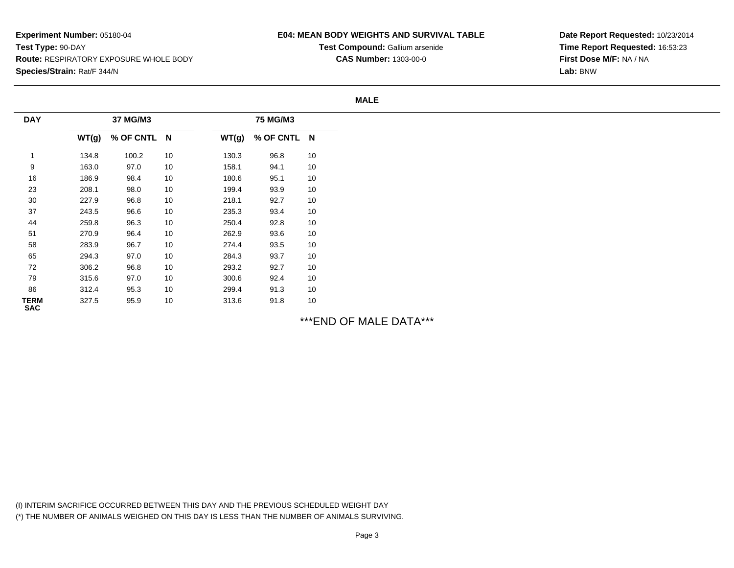### **E04: MEAN BODY WEIGHTS AND SURVIVAL TABLE**

**Test Compound:** Gallium arsenide**CAS Number:** 1303-00-0

**Date Report Requested:** 10/23/2014**Time Report Requested:** 16:53:23**First Dose M/F:** NA / NA**Lab:** BNW

#### **MALE**

| <b>DAY</b>                |       | 37 MG/M3    |    |       | 75 MG/M3    |    |
|---------------------------|-------|-------------|----|-------|-------------|----|
|                           | WT(g) | % OF CNTL N |    | WT(g) | % OF CNTL N |    |
|                           | 134.8 | 100.2       | 10 | 130.3 | 96.8        | 10 |
| 9                         | 163.0 | 97.0        | 10 | 158.1 | 94.1        | 10 |
| 16                        | 186.9 | 98.4        | 10 | 180.6 | 95.1        | 10 |
| 23                        | 208.1 | 98.0        | 10 | 199.4 | 93.9        | 10 |
| 30                        | 227.9 | 96.8        | 10 | 218.1 | 92.7        | 10 |
| 37                        | 243.5 | 96.6        | 10 | 235.3 | 93.4        | 10 |
| 44                        | 259.8 | 96.3        | 10 | 250.4 | 92.8        | 10 |
| 51                        | 270.9 | 96.4        | 10 | 262.9 | 93.6        | 10 |
| 58                        | 283.9 | 96.7        | 10 | 274.4 | 93.5        | 10 |
| 65                        | 294.3 | 97.0        | 10 | 284.3 | 93.7        | 10 |
| 72                        | 306.2 | 96.8        | 10 | 293.2 | 92.7        | 10 |
| 79                        | 315.6 | 97.0        | 10 | 300.6 | 92.4        | 10 |
| 86                        | 312.4 | 95.3        | 10 | 299.4 | 91.3        | 10 |
| <b>TERM</b><br><b>SAC</b> | 327.5 | 95.9        | 10 | 313.6 | 91.8        | 10 |

\*\*\*END OF MALE DATA\*\*\*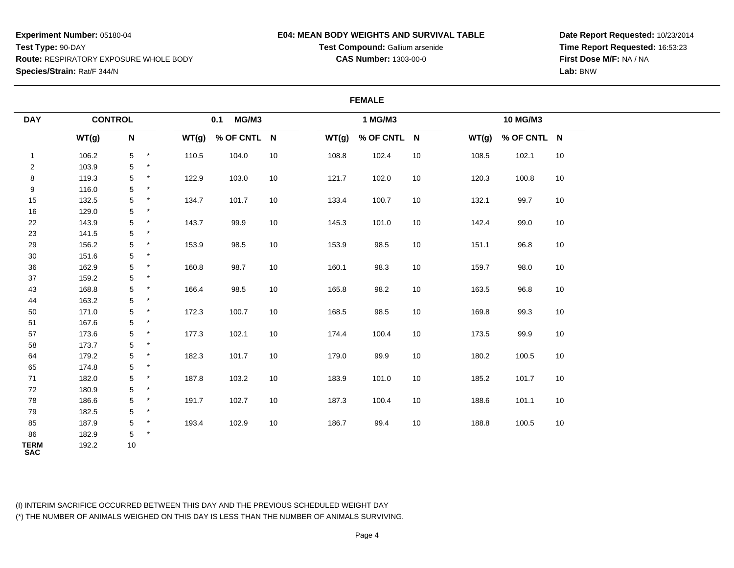### **E04: MEAN BODY WEIGHTS AND SURVIVAL TABLE**

**Test Compound:** Gallium arsenide**CAS Number:** 1303-00-0

**Date Report Requested:** 10/23/2014**Time Report Requested:** 16:53:23**First Dose M/F:** NA / NA**Lab:** BNW

|                           |                |                 |          |       |              |        |       | <b>FEMALE</b> |        |       |             |        |
|---------------------------|----------------|-----------------|----------|-------|--------------|--------|-------|---------------|--------|-------|-------------|--------|
| <b>DAY</b>                | <b>CONTROL</b> |                 |          |       | 0.1<br>MG/M3 |        |       | 1 MG/M3       |        |       | 10 MG/M3    |        |
|                           | WT(g)          | N               |          | WT(g) | % OF CNTL N  |        | WT(g) | % OF CNTL N   |        | WT(g) | % OF CNTL N |        |
| $\mathbf{1}$              | 106.2          | $5\phantom{.0}$ | $\ast$   | 110.5 | 104.0        | $10\,$ | 108.8 | 102.4         | $10\,$ | 108.5 | 102.1       | 10     |
| $\overline{2}$            | 103.9          | 5               | $^\star$ |       |              |        |       |               |        |       |             |        |
| 8                         | 119.3          | 5               | $\ast$   | 122.9 | 103.0        | 10     | 121.7 | 102.0         | 10     | 120.3 | 100.8       | 10     |
| 9                         | 116.0          | 5               | $\star$  |       |              |        |       |               |        |       |             |        |
| 15                        | 132.5          | 5               | $\star$  | 134.7 | 101.7        | 10     | 133.4 | 100.7         | $10\,$ | 132.1 | 99.7        | $10\,$ |
| 16                        | 129.0          | 5               | $\star$  |       |              |        |       |               |        |       |             |        |
| 22                        | 143.9          | 5               | $\star$  | 143.7 | 99.9         | 10     | 145.3 | 101.0         | 10     | 142.4 | 99.0        | 10     |
| 23                        | 141.5          | 5               | $\star$  |       |              |        |       |               |        |       |             |        |
| 29                        | 156.2          | 5               | $\star$  | 153.9 | 98.5         | $10\,$ | 153.9 | 98.5          | $10\,$ | 151.1 | 96.8        | 10     |
| $30\,$                    | 151.6          | 5               | $\star$  |       |              |        |       |               |        |       |             |        |
| 36                        | 162.9          | 5               | $\star$  | 160.8 | 98.7         | 10     | 160.1 | 98.3          | 10     | 159.7 | 98.0        | 10     |
| 37                        | 159.2          | 5               | $\star$  |       |              |        |       |               |        |       |             |        |
| 43                        | 168.8          | 5               | $\star$  | 166.4 | 98.5         | 10     | 165.8 | 98.2          | 10     | 163.5 | 96.8        | 10     |
| 44                        | 163.2          | 5               | $\star$  |       |              |        |       |               |        |       |             |        |
| 50                        | 171.0          | 5               | $\ast$   | 172.3 | 100.7        | 10     | 168.5 | 98.5          | 10     | 169.8 | 99.3        | 10     |
| 51                        | 167.6          | 5               | $\ast$   |       |              |        |       |               |        |       |             |        |
| 57                        | 173.6          | 5               | $\star$  | 177.3 | 102.1        | 10     | 174.4 | 100.4         | 10     | 173.5 | 99.9        | 10     |
| 58                        | 173.7          | 5               | $\star$  |       |              |        |       |               |        |       |             |        |
| 64                        | 179.2          | 5               | $\star$  | 182.3 | 101.7        | 10     | 179.0 | 99.9          | 10     | 180.2 | 100.5       | 10     |
| 65                        | 174.8          | 5               | $\star$  |       |              |        |       |               |        |       |             |        |
| 71                        | 182.0          | 5               | $\star$  | 187.8 | 103.2        | 10     | 183.9 | 101.0         | 10     | 185.2 | 101.7       | 10     |
| 72                        | 180.9          | 5               | $\star$  |       |              |        |       |               |        |       |             |        |
| 78                        | 186.6          | 5               | $\star$  | 191.7 | 102.7        | 10     | 187.3 | 100.4         | 10     | 188.6 | 101.1       | 10     |
| 79                        | 182.5          | 5               | $\star$  |       |              |        |       |               |        |       |             |        |
| 85                        | 187.9          | 5               | $\star$  | 193.4 | 102.9        | 10     | 186.7 | 99.4          | 10     | 188.8 | 100.5       | 10     |
| 86                        | 182.9          | 5               | $\star$  |       |              |        |       |               |        |       |             |        |
| <b>TERM</b><br><b>SAC</b> | 192.2          | 10              |          |       |              |        |       |               |        |       |             |        |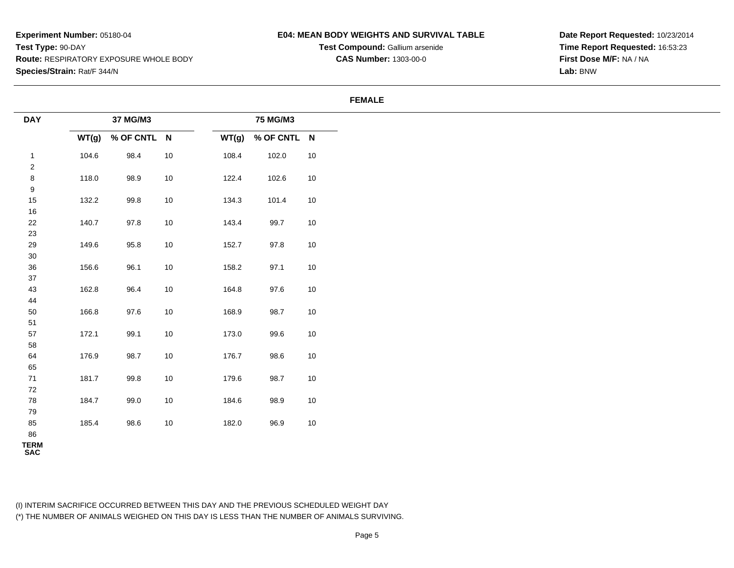### **E04: MEAN BODY WEIGHTS AND SURVIVAL TABLE**

**Test Compound:** Gallium arsenide**CAS Number:** 1303-00-0

**Date Report Requested:** 10/23/2014**Time Report Requested:** 16:53:23**First Dose M/F:** NA / NA**Lab:** BNW

#### **FEMALE**

| <b>DAY</b>       |       | 37 MG/M3    |      |       | 75 MG/M3    |        |
|------------------|-------|-------------|------|-------|-------------|--------|
|                  | WT(g) | % OF CNTL N |      | WT(g) | % OF CNTL N |        |
| $\mathbf{1}$     | 104.6 | 98.4        | $10$ | 108.4 | 102.0       | $10$   |
| $\overline{c}$   |       |             |      |       |             |        |
| $\bf 8$          | 118.0 | 98.9        | $10$ | 122.4 | 102.6       | $10$   |
| $\boldsymbol{9}$ |       |             |      |       |             |        |
| 15               | 132.2 | 99.8        | 10   | 134.3 | 101.4       | 10     |
| $16\,$           |       |             |      |       |             |        |
| 22               | 140.7 | 97.8        | $10$ | 143.4 | 99.7        | $10$   |
| 23               |       |             |      |       |             |        |
| $29\,$           | 149.6 | 95.8        | $10$ | 152.7 | 97.8        | $10\,$ |
| $30\,$           |       |             |      |       |             |        |
| 36               | 156.6 | 96.1        | $10$ | 158.2 | 97.1        | $10$   |
| $37\,$           |       |             |      |       |             |        |
| 43               | 162.8 | 96.4        | 10   | 164.8 | 97.6        | 10     |
| 44               |       |             |      |       |             |        |
| $50\,$           | 166.8 | 97.6        | $10$ | 168.9 | 98.7        | $10$   |
| 51               |       |             |      |       |             |        |
| $57\,$           | 172.1 | 99.1        | $10$ | 173.0 | 99.6        | $10\,$ |
| 58               | 176.9 | 98.7        |      | 176.7 | 98.6        |        |
| 64<br>65         |       |             | 10   |       |             | $10\,$ |
| 71               | 181.7 | 99.8        | $10$ | 179.6 | 98.7        | 10     |
| 72               |       |             |      |       |             |        |
| 78               | 184.7 | 99.0        | $10$ | 184.6 | 98.9        | 10     |
| 79               |       |             |      |       |             |        |
| 85               | 185.4 | 98.6        | 10   | 182.0 | 96.9        | 10     |
| 86               |       |             |      |       |             |        |
| <b>TERM</b>      |       |             |      |       |             |        |
| <b>SAC</b>       |       |             |      |       |             |        |